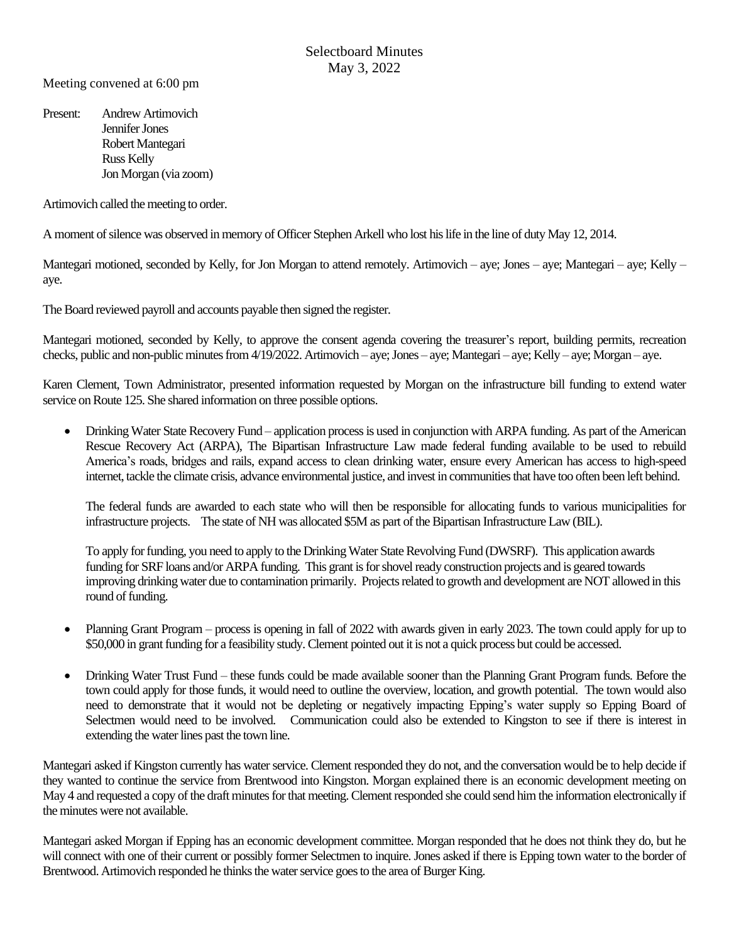Meeting convened at 6:00 pm

Present: Andrew Artimovich Jennifer Jones Robert Mantegari Russ Kelly Jon Morgan (via zoom)

Artimovich called the meeting to order.

A moment of silence was observed in memory of Officer Stephen Arkell who lost his life in the line of duty May 12, 2014.

Mantegari motioned, seconded by Kelly, for Jon Morgan to attend remotely. Artimovich – aye; Jones – aye; Mantegari – aye; Kelly – aye.

The Board reviewed payroll and accounts payable then signed the register.

Mantegari motioned, seconded by Kelly, to approve the consent agenda covering the treasurer's report, building permits, recreation checks, public and non-public minutes from 4/19/2022. Artimovich – aye; Jones – aye; Mantegari – aye; Kelly – aye; Morgan – aye.

Karen Clement, Town Administrator, presented information requested by Morgan on the infrastructure bill funding to extend water service on Route 125. She shared information on three possible options.

• Drinking Water State Recovery Fund – application process is used in conjunction with ARPA funding. As part of the American Rescue Recovery Act (ARPA), The Bipartisan Infrastructure Law made federal funding available to be used to rebuild America's roads, bridges and rails, expand access to clean drinking water, ensure every American has access to high-speed internet, tackle the climate crisis, advance environmental justice, and invest in communities that have too often been left behind.

The federal funds are awarded to each state who will then be responsible for allocating funds to various municipalities for infrastructure projects. The state of NH was allocated \$5M as part of the Bipartisan Infrastructure Law (BIL).

To apply for funding, you need to apply to the Drinking Water State Revolving Fund (DWSRF). This application awards funding for SRF loans and/or ARPA funding. This grant is for shovel ready construction projects and is geared towards improving drinking water due to contamination primarily. Projects related to growth and development are NOT allowed in this round of funding.

- Planning Grant Program process is opening in fall of 2022 with awards given in early 2023. The town could apply for up to \$50,000 in grant funding for a feasibility study. Clement pointed out it is not a quick process but could be accessed.
- Drinking Water Trust Fund these funds could be made available sooner than the Planning Grant Program funds. Before the town could apply for those funds, it would need to outline the overview, location, and growth potential. The town would also need to demonstrate that it would not be depleting or negatively impacting Epping's water supply so Epping Board of Selectmen would need to be involved. Communication could also be extended to Kingston to see if there is interest in extending the water lines past the town line.

Mantegari asked if Kingston currently has water service. Clement responded they do not, and the conversation would be to help decide if they wanted to continue the service from Brentwood into Kingston. Morgan explained there is an economic development meeting on May 4 and requested a copy of the draft minutes for that meeting. Clement responded she could send him the information electronically if the minutes were not available.

Mantegari asked Morgan if Epping has an economic development committee. Morgan responded that he does not think they do, but he will connect with one of their current or possibly former Selectmen to inquire. Jones asked if there is Epping town water to the border of Brentwood. Artimovich responded he thinks the water service goes to the area of Burger King.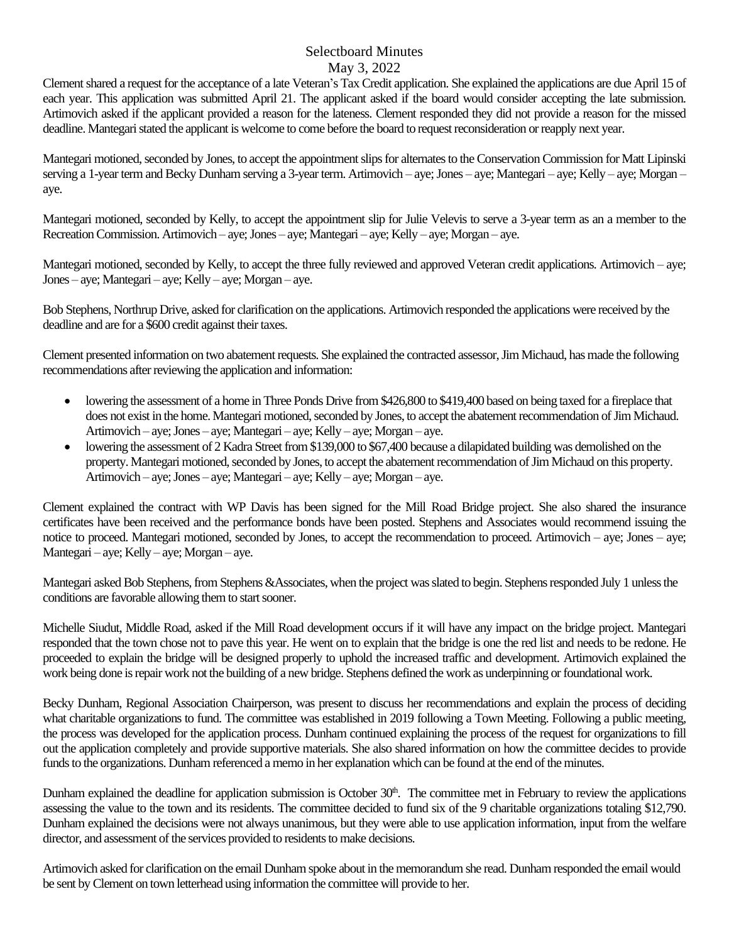Clement shared a request for the acceptance of a late Veteran's Tax Credit application. She explained the applications are due April 15 of each year. This application was submitted April 21. The applicant asked if the board would consider accepting the late submission. Artimovich asked if the applicant provided a reason for the lateness. Clement responded they did not provide a reason for the missed deadline. Mantegari stated the applicant is welcome to come before the board to request reconsideration or reapply next year.

Mantegari motioned, seconded by Jones, to accept the appointment slips for alternatesto the Conservation Commission for Matt Lipinski serving a 1-year term and Becky Dunham serving a 3-year term. Artimovich – aye; Jones – aye; Mantegari – aye; Kelly – aye; Morgan – aye.

Mantegari motioned, seconded by Kelly, to accept the appointment slip for Julie Velevis to serve a 3-year term as an a member to the Recreation Commission. Artimovich – aye;Jones – aye; Mantegari – aye; Kelly – aye; Morgan – aye.

Mantegari motioned, seconded by Kelly, to accept the three fully reviewed and approved Veteran credit applications. Artimovich – aye; Jones – aye; Mantegari – aye; Kelly – aye; Morgan – aye.

Bob Stephens, Northrup Drive, asked for clarification on the applications. Artimovich responded the applications were received by the deadline and are for a \$600 credit against their taxes.

Clement presented information on two abatement requests. She explained the contracted assessor, Jim Michaud, has made the following recommendations after reviewing the application and information:

- lowering the assessment of a home in Three Ponds Drive from \$426,800 to \$419,400 based on being taxed for a fireplace that does not exist in the home. Mantegari motioned, seconded by Jones, to accept the abatementrecommendation of Jim Michaud. Artimovich – aye; Jones – aye; Mantegari – aye; Kelly – aye; Morgan – aye.
- lowering the assessment of 2 Kadra Street from \$139,000 to \$67,400 because a dilapidated building was demolished on the property. Mantegari motioned, seconded by Jones, to accept the abatement recommendation of Jim Michaud on this property. Artimovich – aye; Jones – aye; Mantegari – aye; Kelly – aye; Morgan – aye.

Clement explained the contract with WP Davis has been signed for the Mill Road Bridge project. She also shared the insurance certificates have been received and the performance bonds have been posted. Stephens and Associates would recommend issuing the notice to proceed. Mantegari motioned, seconded by Jones, to accept the recommendation to proceed. Artimovich – aye; Jones – aye; Mantegari – aye; Kelly – aye; Morgan – aye.

Mantegari asked Bob Stephens, from Stephens &Associates, when the project was slated to begin. Stephens responded July 1 unless the conditions are favorable allowing them to start sooner.

Michelle Siudut, Middle Road, asked if the Mill Road development occurs if it will have any impact on the bridge project. Mantegari responded that the town chose not to pave this year. He went on to explain that the bridge is one the red list and needs to be redone. He proceeded to explain the bridge will be designed properly to uphold the increased traffic and development. Artimovich explained the work being done is repair work not the building of a new bridge. Stephens defined the work as underpinning or foundational work.

Becky Dunham, Regional Association Chairperson, was present to discuss her recommendations and explain the process of deciding what charitable organizations to fund. The committee was established in 2019 following a Town Meeting. Following a public meeting, the process was developed for the application process. Dunham continued explaining the process of the request for organizations to fill out the application completely and provide supportive materials. She also shared information on how the committee decides to provide funds to the organizations. Dunham referenced a memo in her explanation which can be found at the end of the minutes.

Dunham explained the deadline for application submission is October  $30<sup>th</sup>$ . The committee met in February to review the applications assessing the value to the town and its residents. The committee decided to fund six of the 9 charitable organizations totaling \$12,790. Dunham explained the decisions were not always unanimous, but they were able to use application information, input from the welfare director, and assessment of the services provided to residents to make decisions.

Artimovich asked for clarification on the email Dunham spoke about in the memorandum she read. Dunham responded the email would be sent byClement on town letterhead using information the committee will provide to her.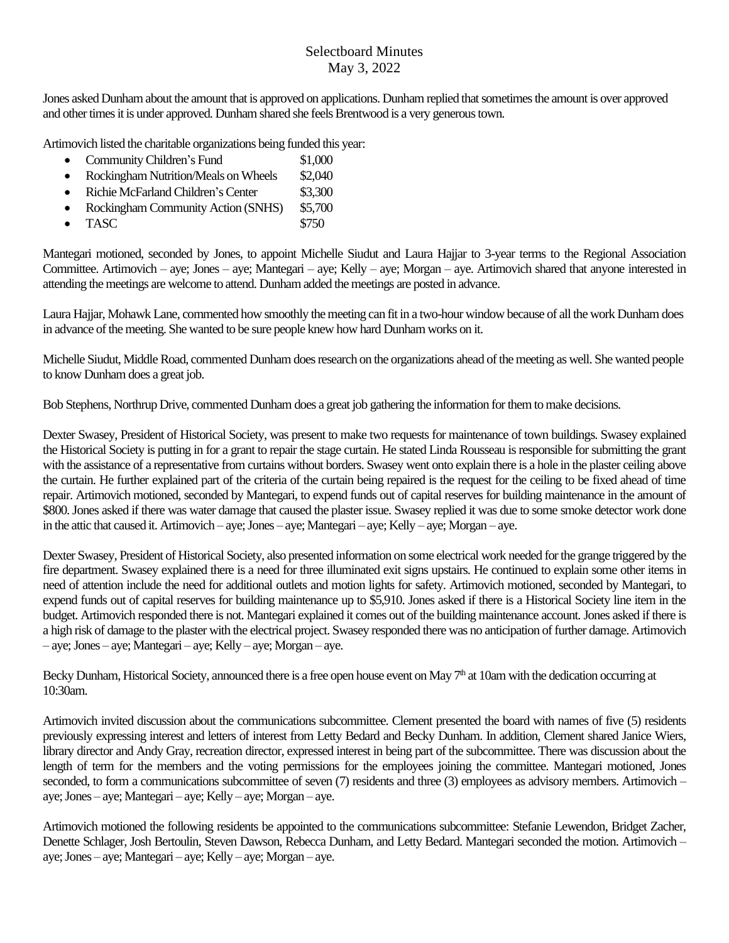Jones asked Dunham about the amount that is approved on applications. Dunham replied that sometimes the amount is over approved and other times it is under approved. Dunham shared she feels Brentwood is a very generous town.

Artimovich listed the charitable organizations being funded this year:

- Community Children's Fund \$1,000
- Rockingham Nutrition/Meals onWheels \$2,040
- Richie McFarland Children's Center \$3,300
- Rockingham Community Action (SNHS) \$5,700
- **TASC** \$750

Mantegari motioned, seconded by Jones, to appoint Michelle Siudut and Laura Hajjar to 3-year terms to the Regional Association Committee. Artimovich – aye; Jones – aye; Mantegari – aye; Kelly – aye; Morgan – aye. Artimovich shared that anyone interested in attending the meetings are welcome to attend. Dunham added the meetings are posted in advance.

Laura Hajjar, Mohawk Lane, commented how smoothly the meeting can fit in a two-hour window because of all the work Dunham does in advance of the meeting. She wanted to be sure people knew how hard Dunham works on it.

Michelle Siudut, Middle Road, commented Dunham does research on the organizations ahead of the meeting as well. She wanted people to know Dunham does a great job.

Bob Stephens, Northrup Drive, commented Dunham does a great job gathering the information for them to make decisions.

Dexter Swasey, President of Historical Society, was present to make two requests for maintenance of town buildings. Swasey explained the Historical Society is putting in for a grant to repair the stage curtain. He stated Linda Rousseau is responsible for submitting the grant with the assistance of a representative from curtains without borders. Swasey went onto explain there is a hole in the plaster ceiling above the curtain. He further explained part of the criteria of the curtain being repaired is the request for the ceiling to be fixed ahead of time repair. Artimovich motioned, seconded by Mantegari, to expend funds out of capital reserves for building maintenance in the amount of \$800. Jones asked if there was water damage that caused the plaster issue. Swasey replied it was due to some smoke detector work done in the attic that caused it. Artimovich – aye; Jones – aye; Mantegari – aye; Kelly – aye; Morgan – aye.

Dexter Swasey, President of Historical Society, also presented information on some electrical work needed for the grange triggered by the fire department. Swasey explained there is a need for three illuminated exit signs upstairs. He continued to explain some other items in need of attention include the need for additional outlets and motion lights for safety. Artimovich motioned, seconded by Mantegari, to expend funds out of capital reserves for building maintenance up to \$5,910. Jones asked if there is a Historical Society line item in the budget. Artimovich responded there is not. Mantegari explained it comes out of the building maintenance account.Jones asked if there is a high risk of damage to the plaster with the electrical project. Swasey responded there was no anticipation of further damage. Artimovich  $-$  aye; Jones – aye; Mantegari – aye; Kelly – aye; Morgan – aye.

Becky Dunham, Historical Society, announced there is a free open house event on May 7<sup>th</sup> at 10am with the dedication occurring at 10:30am.

Artimovich invited discussion about the communications subcommittee. Clement presented the board with names of five (5) residents previously expressing interest and letters of interest from Letty Bedard and Becky Dunham. In addition, Clement shared Janice Wiers, library director and Andy Gray, recreation director, expressed interest in being part of the subcommittee. There was discussion about the length of term for the members and the voting permissions for the employees joining the committee. Mantegari motioned, Jones seconded, to form a communications subcommittee of seven (7) residents and three (3) employees as advisory members. Artimovich – aye;Jones – aye; Mantegari – aye; Kelly – aye; Morgan – aye.

Artimovich motioned the following residents be appointed to the communications subcommittee: Stefanie Lewendon, Bridget Zacher, Denette Schlager, Josh Bertoulin, Steven Dawson, Rebecca Dunham, and Letty Bedard. Mantegari seconded the motion. Artimovich – aye; Jones – aye; Mantegari – aye; Kelly – aye; Morgan – aye.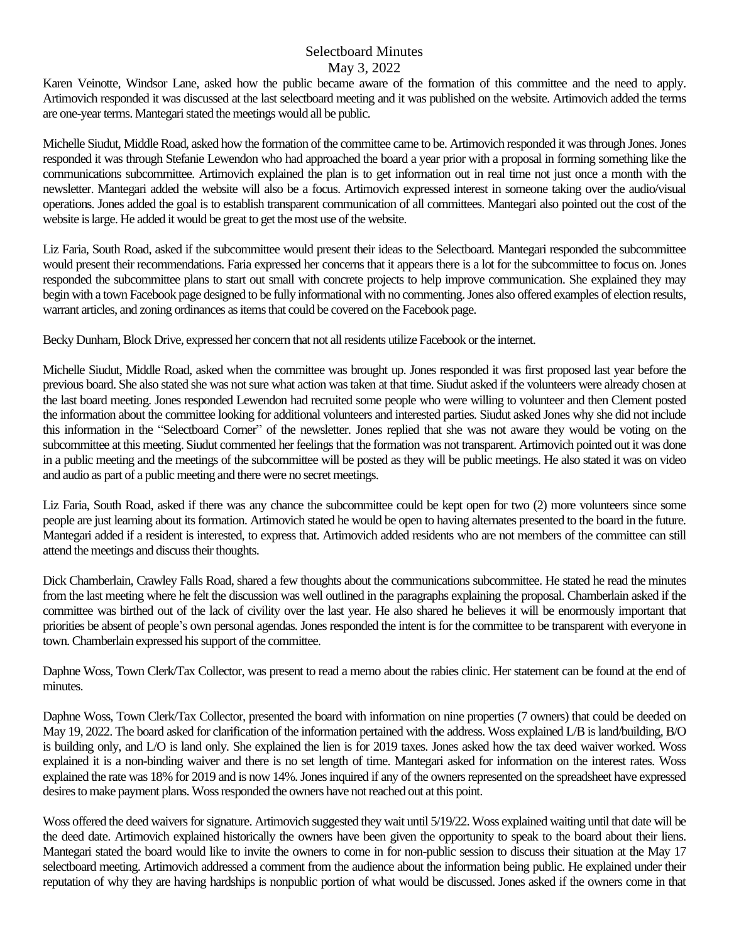Karen Veinotte, Windsor Lane, asked how the public became aware of the formation of this committee and the need to apply. Artimovich responded it was discussed at the last selectboard meeting and it was published on the website. Artimovich added the terms are one-year terms. Mantegari stated the meetings would all be public.

Michelle Siudut, Middle Road, asked how the formation of the committee came to be. Artimovich responded it was through Jones. Jones responded it was through Stefanie Lewendon who had approached the board a year prior with a proposal in forming something like the communications subcommittee. Artimovich explained the plan is to get information out in real time not just once a month with the newsletter. Mantegari added the website will also be a focus. Artimovich expressed interest in someone taking over the audio/visual operations. Jones added the goal is to establish transparent communication of all committees. Mantegari also pointed out the cost of the website is large. He added it would be great to get the most use of the website.

Liz Faria, South Road, asked if the subcommittee would present their ideas to the Selectboard. Mantegari responded the subcommittee would present their recommendations. Faria expressed her concerns that it appears there is a lot for the subcommittee to focus on. Jones responded the subcommittee plans to start out small with concrete projects to help improve communication. She explained they may begin with a town Facebook page designed to be fully informational with no commenting. Jones also offered examples of election results, warrant articles, and zoning ordinances as items that could be covered on the Facebook page.

Becky Dunham, Block Drive, expressed her concern that not all residents utilize Facebook orthe internet.

Michelle Siudut, Middle Road, asked when the committee was brought up. Jones responded it was first proposed last year before the previous board. She also stated she was not sure what action was taken at that time. Siudut asked if the volunteers were already chosen at the last board meeting. Jones responded Lewendon had recruited some people who were willing to volunteer and then Clement posted the information about the committee looking for additional volunteers and interested parties. Siudut asked Jones why she did not include this information in the "Selectboard Corner" of the newsletter. Jones replied that she was not aware they would be voting on the subcommittee at this meeting. Siudut commented her feelings that the formation was not transparent. Artimovich pointed out it was done in a public meeting and the meetings of the subcommittee will be posted as they will be public meetings. He also stated it was on video and audio as part of a public meeting and there were no secret meetings.

Liz Faria, South Road, asked if there was any chance the subcommittee could be kept open for two (2) more volunteers since some people are just learning about its formation. Artimovich stated he would be open to having alternates presented to the board in the future. Mantegari added if a resident is interested, to express that. Artimovich added residents who are not members of the committee can still attend the meetings and discuss their thoughts.

Dick Chamberlain, Crawley Falls Road, shared a few thoughts about the communications subcommittee. He stated he read the minutes from the last meeting where he felt the discussion was well outlined in the paragraphs explaining the proposal. Chamberlain asked if the committee was birthed out of the lack of civility over the last year. He also shared he believes it will be enormously important that priorities be absent of people's own personal agendas. Jones responded the intent is for the committee to be transparent with everyone in town.Chamberlain expressed his support of the committee.

Daphne Woss, Town Clerk/Tax Collector, was present to read a memo about the rabies clinic. Her statement can be found at the end of minutes.

Daphne Woss, Town Clerk/Tax Collector, presented the board with information on nine properties (7 owners) that could be deeded on May 19, 2022. The board asked for clarification of the information pertained with the address. Woss explained L/B is land/building, B/O is building only, and L/O is land only. She explained the lien is for 2019 taxes. Jones asked how the tax deed waiver worked. Woss explained it is a non-binding waiver and there is no set length of time. Mantegari asked for information on the interest rates. Woss explained the rate was 18% for 2019 and is now 14%.Jones inquired if any of the owners represented on the spreadsheet have expressed desires to make payment plans. Woss responded the owners have not reached out at this point.

Woss offered the deed waivers for signature. Artimovich suggested they wait until  $5/19/22$ . Woss explained waiting until that date will be the deed date. Artimovich explained historically the owners have been given the opportunity to speak to the board about their liens. Mantegari stated the board would like to invite the owners to come in for non-public session to discuss their situation at the May 17 selectboard meeting. Artimovich addressed a comment from the audience about the information being public. He explained under their reputation of why they are having hardships is nonpublic portion of what would be discussed. Jones asked if the owners come in that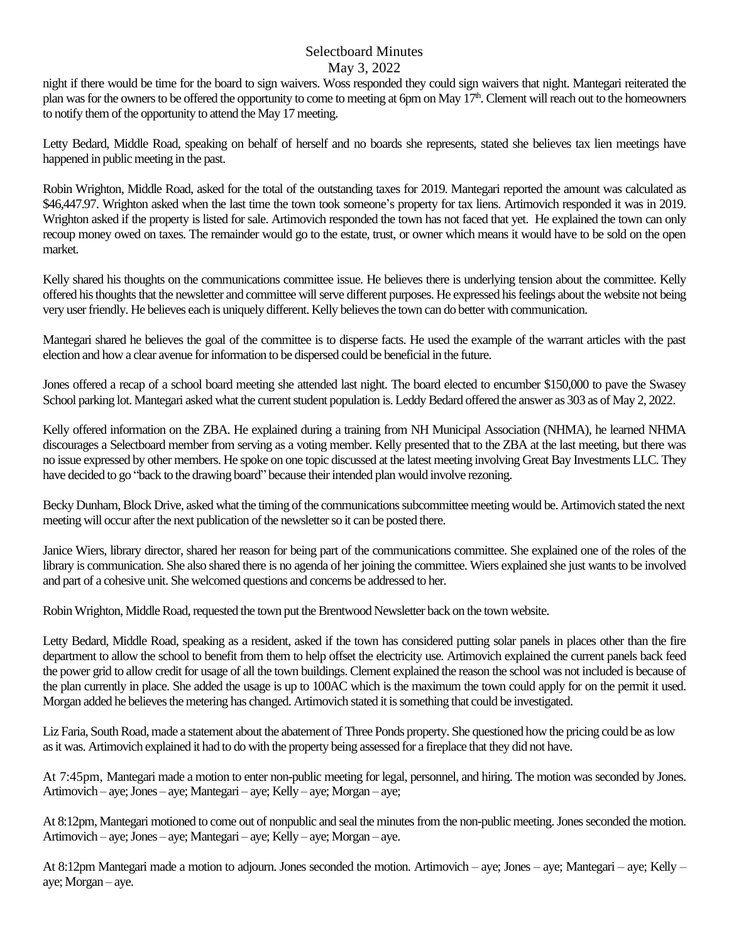night if there would be time for the board to sign waivers. Woss responded they could sign waivers that night. Mantegari reiterated the plan was for the owners to be offered the opportunity to come to meeting at 6pm on May 17<sup>th</sup>. Clement will reach out to the homeowners to notify them of the opportunity to attend the May 17 meeting.

Letty Bedard, Middle Road, speaking on behalf of herself and no boards she represents, stated she believes tax lien meetings have happened in public meeting in the past.

Robin Wrighton, Middle Road, asked for the total of the outstanding taxes for 2019. Mantegari reported the amount was calculated as \$46,447.97. Wrighton asked when the last time the town took someone's property for tax liens. Artimovich responded it was in 2019. Wrighton asked if the property is listed for sale. Artimovich responded the town has not faced that yet. He explained the town can only recoup money owed on taxes. The remainder would go to the estate, trust, or owner which means it would have to be sold on the open market.

Kelly shared his thoughts on the communications committee issue. He believes there is underlying tension about the committee. Kelly offered his thoughts that the newsletter and committee will serve different purposes. He expressed his feelings about the website not being very user friendly. He believes each is uniquely different. Kelly believes the town can do better with communication.

Mantegari shared he believes the goal of the committee is to disperse facts. He used the example of the warrant articles with the past election and how a clear avenue for information to be dispersed could be beneficial in the future.

Jones offered a recap of a school board meeting she attended last night. The board elected to encumber \$150,000 to pave the Swasey School parking lot. Mantegari asked what the current student population is. Leddy Bedard offered the answer as 303 as of May 2, 2022.

Kelly offered information on the ZBA. He explained during a training from NH Municipal Association (NHMA), he learned NHMA discourages a Selectboard member from serving as a voting member. Kelly presented that to the ZBA at the last meeting, but there was no issue expressed by other members. He spoke on one topic discussed at the latest meeting involving Great Bay Investments LLC. They have decided to go "back to the drawing board" because their intended plan would involve rezoning.

Becky Dunham, Block Drive, asked what the timing of the communications subcommittee meeting would be. Artimovich stated the next meeting will occur after the next publication of the newsletter so it can be posted there.

Janice Wiers, library director, shared her reason for being part of the communications committee. She explained one of the roles of the library is communication. She also shared there is no agenda of her joining the committee. Wiers explained she just wants to be involved and part of a cohesive unit. She welcomed questions and concerns be addressed to her.

Robin Wrighton, Middle Road, requested the town put the Brentwood Newsletter back on the town website.

Letty Bedard, Middle Road, speaking as a resident, asked if the town has considered putting solar panels in places other than the fire department to allow the school to benefit from them to help offset the electricity use. Artimovich explained the current panels back feed the power grid to allow credit for usage of all the town buildings. Clement explained the reason the school was not included is because of the plan currently in place. She added the usage is up to 100AC which is the maximum the town could apply for on the permit it used. Morgan added he believes the metering has changed. Artimovich stated it is something that could be investigated.

Liz Faria, South Road, made a statement about the abatement of Three Ponds property. She questioned how the pricing could be as low as it was. Artimovich explained it had to do with the property being assessed for a fireplace that they did not have.

At 7:45pm, Mantegari made a motion to enter non-public meeting for legal, personnel, and hiring. The motion was seconded by Jones. Artimovich – aye; Jones – aye; Mantegari – aye; Kelly – aye; Morgan – aye;

At 8:12pm, Mantegari motioned to come out of nonpublic and seal the minutes from the non-public meeting. Jones seconded the motion. Artimovich – aye; Jones – aye; Mantegari – aye; Kelly – aye; Morgan – aye.

At 8:12pm Mantegari made a motion to adjourn. Jones seconded the motion. Artimovich – aye; Jones – aye; Mantegari – aye; Kelly – aye; Morgan – aye.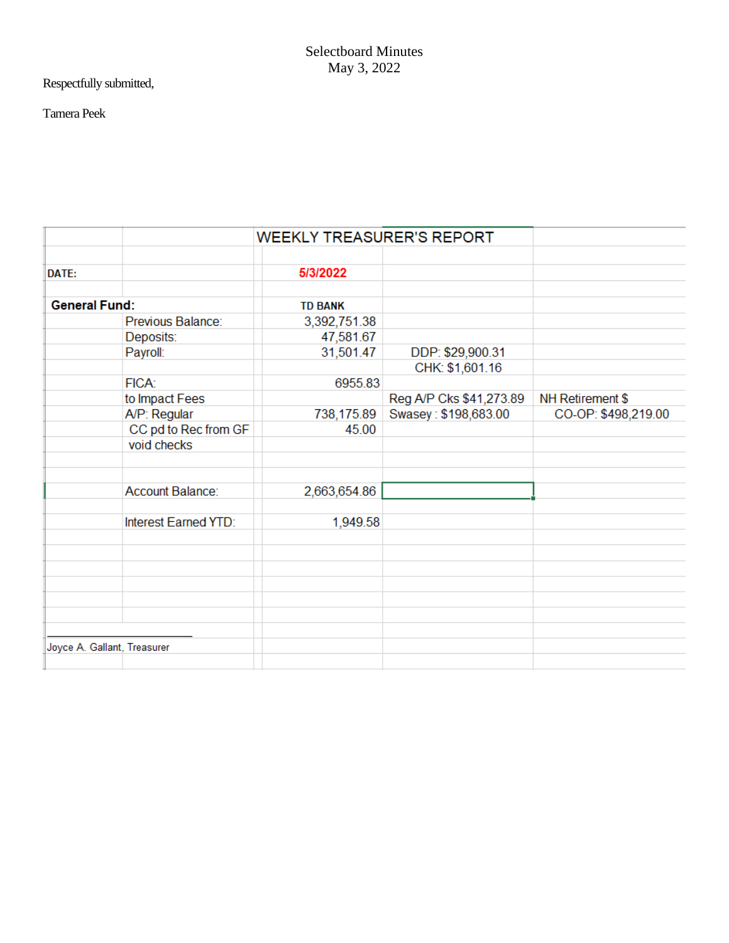Respectfully submitted,

# Tamera Peek

|                             |                      | <b>WEEKLY TREASURER'S REPORT</b> |                         |                     |
|-----------------------------|----------------------|----------------------------------|-------------------------|---------------------|
|                             |                      |                                  |                         |                     |
| DATE:                       |                      | 5/3/2022                         |                         |                     |
|                             |                      |                                  |                         |                     |
| <b>General Fund:</b>        |                      | <b>TD BANK</b>                   |                         |                     |
|                             | Previous Balance:    | 3,392,751.38                     |                         |                     |
|                             | Deposits:            | 47,581.67                        |                         |                     |
|                             | Payroll:             | 31,501.47                        | DDP: \$29,900.31        |                     |
|                             |                      |                                  | CHK: \$1,601.16         |                     |
|                             | FICA:                | 6955.83                          |                         |                     |
|                             | to Impact Fees       |                                  | Reg A/P Cks \$41,273.89 | NH Retirement \$    |
|                             | A/P: Regular         | 738,175.89                       | Swasey: \$198,683.00    | CO-OP: \$498,219.00 |
|                             | CC pd to Rec from GF | 45.00                            |                         |                     |
|                             | void checks          |                                  |                         |                     |
|                             |                      |                                  |                         |                     |
|                             |                      |                                  |                         |                     |
|                             | Account Balance:     | 2,663,654.86                     |                         |                     |
|                             |                      |                                  |                         |                     |
|                             | Interest Earned YTD: | 1,949.58                         |                         |                     |
|                             |                      |                                  |                         |                     |
|                             |                      |                                  |                         |                     |
|                             |                      |                                  |                         |                     |
|                             |                      |                                  |                         |                     |
|                             |                      |                                  |                         |                     |
|                             |                      |                                  |                         |                     |
|                             |                      |                                  |                         |                     |
| Joyce A. Gallant, Treasurer |                      |                                  |                         |                     |
|                             |                      |                                  |                         |                     |